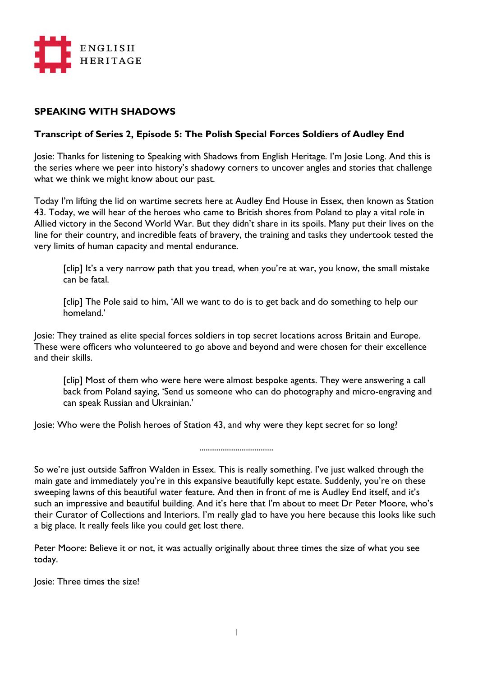

## **SPEAKING WITH SHADOWS**

## **Transcript of Series 2, Episode 5: The Polish Special Forces Soldiers of Audley End**

Josie: Thanks for listening to Speaking with Shadows from English Heritage. I'm Josie Long. And this is the series where we peer into history's shadowy corners to uncover angles and stories that challenge what we think we might know about our past.

Today I'm lifting the lid on wartime secrets here at Audley End House in Essex, then known as Station 43. Today, we will hear of the heroes who came to British shores from Poland to play a vital role in Allied victory in the Second World War. But they didn't share in its spoils. Many put their lives on the line for their country, and incredible feats of bravery, the training and tasks they undertook tested the very limits of human capacity and mental endurance.

[clip] It's a very narrow path that you tread, when you're at war, you know, the small mistake can be fatal.

[clip] The Pole said to him, 'All we want to do is to get back and do something to help our homeland.'

Josie: They trained as elite special forces soldiers in top secret locations across Britain and Europe. These were officers who volunteered to go above and beyond and were chosen for their excellence and their skills.

[clip] Most of them who were here were almost bespoke agents. They were answering a call back from Poland saying, 'Send us someone who can do photography and micro-engraving and can speak Russian and Ukrainian.'

Josie: Who were the Polish heroes of Station 43, and why were they kept secret for so long?

...................................

So we're just outside Saffron Walden in Essex. This is really something. I've just walked through the main gate and immediately you're in this expansive beautifully kept estate. Suddenly, you're on these sweeping lawns of this beautiful water feature. And then in front of me is Audley End itself, and it's such an impressive and beautiful building. And it's here that I'm about to meet Dr Peter Moore, who's their Curator of Collections and Interiors. I'm really glad to have you here because this looks like such a big place. It really feels like you could get lost there.

Peter Moore: Believe it or not, it was actually originally about three times the size of what you see today.

Josie: Three times the size!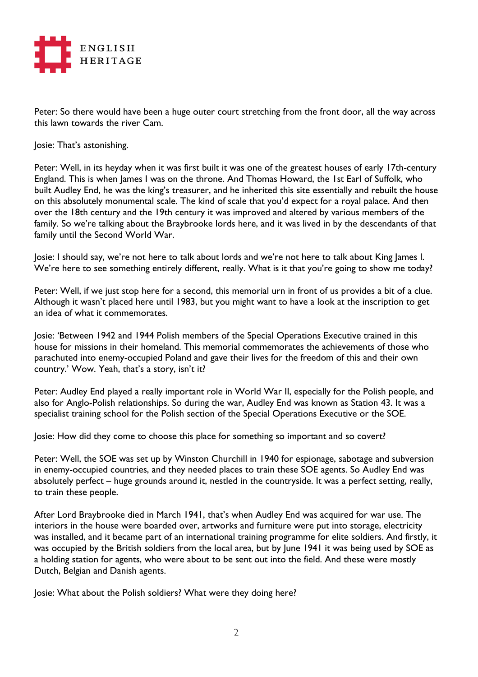

Peter: So there would have been a huge outer court stretching from the front door, all the way across this lawn towards the river Cam.

Josie: That's astonishing.

Peter: Well, in its heyday when it was first built it was one of the greatest houses of early 17th-century England. This is when James I was on the throne. And Thomas Howard, the 1st Earl of Suffolk, who built Audley End, he was the king's treasurer, and he inherited this site essentially and rebuilt the house on this absolutely monumental scale. The kind of scale that you'd expect for a royal palace. And then over the 18th century and the 19th century it was improved and altered by various members of the family. So we're talking about the Braybrooke lords here, and it was lived in by the descendants of that family until the Second World War.

Josie: I should say, we're not here to talk about lords and we're not here to talk about King James I. We're here to see something entirely different, really. What is it that you're going to show me today?

Peter: Well, if we just stop here for a second, this memorial urn in front of us provides a bit of a clue. Although it wasn't placed here until 1983, but you might want to have a look at the inscription to get an idea of what it commemorates.

Josie: 'Between 1942 and 1944 Polish members of the Special Operations Executive trained in this house for missions in their homeland. This memorial commemorates the achievements of those who parachuted into enemy-occupied Poland and gave their lives for the freedom of this and their own country.' Wow. Yeah, that's a story, isn't it?

Peter: Audley End played a really important role in World War II, especially for the Polish people, and also for Anglo-Polish relationships. So during the war, Audley End was known as Station 43. It was a specialist training school for the Polish section of the Special Operations Executive or the SOE.

Josie: How did they come to choose this place for something so important and so covert?

Peter: Well, the SOE was set up by Winston Churchill in 1940 for espionage, sabotage and subversion in enemy-occupied countries, and they needed places to train these SOE agents. So Audley End was absolutely perfect – huge grounds around it, nestled in the countryside. It was a perfect setting, really, to train these people.

After Lord Braybrooke died in March 1941, that's when Audley End was acquired for war use. The interiors in the house were boarded over, artworks and furniture were put into storage, electricity was installed, and it became part of an international training programme for elite soldiers. And firstly, it was occupied by the British soldiers from the local area, but by June 1941 it was being used by SOE as a holding station for agents, who were about to be sent out into the field. And these were mostly Dutch, Belgian and Danish agents.

Josie: What about the Polish soldiers? What were they doing here?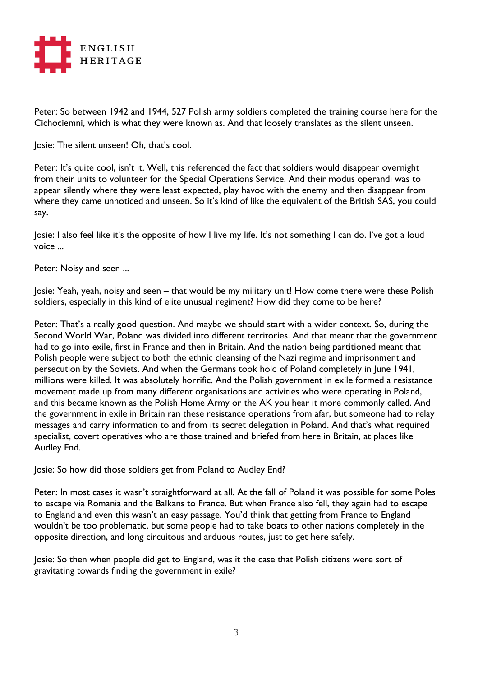

Peter: So between 1942 and 1944, 527 Polish army soldiers completed the training course here for the Cichociemni, which is what they were known as. And that loosely translates as the silent unseen.

Josie: The silent unseen! Oh, that's cool.

Peter: It's quite cool, isn't it. Well, this referenced the fact that soldiers would disappear overnight from their units to volunteer for the Special Operations Service. And their modus operandi was to appear silently where they were least expected, play havoc with the enemy and then disappear from where they came unnoticed and unseen. So it's kind of like the equivalent of the British SAS, you could say.

Josie: I also feel like it's the opposite of how I live my life. It's not something I can do. I've got a loud voice ...

Peter: Noisy and seen ...

Josie: Yeah, yeah, noisy and seen – that would be my military unit! How come there were these Polish soldiers, especially in this kind of elite unusual regiment? How did they come to be here?

Peter: That's a really good question. And maybe we should start with a wider context. So, during the Second World War, Poland was divided into different territories. And that meant that the government had to go into exile, first in France and then in Britain. And the nation being partitioned meant that Polish people were subject to both the ethnic cleansing of the Nazi regime and imprisonment and persecution by the Soviets. And when the Germans took hold of Poland completely in June 1941, millions were killed. It was absolutely horrific. And the Polish government in exile formed a resistance movement made up from many different organisations and activities who were operating in Poland, and this became known as the Polish Home Army or the AK you hear it more commonly called. And the government in exile in Britain ran these resistance operations from afar, but someone had to relay messages and carry information to and from its secret delegation in Poland. And that's what required specialist, covert operatives who are those trained and briefed from here in Britain, at places like Audley End.

Josie: So how did those soldiers get from Poland to Audley End?

Peter: In most cases it wasn't straightforward at all. At the fall of Poland it was possible for some Poles to escape via Romania and the Balkans to France. But when France also fell, they again had to escape to England and even this wasn't an easy passage. You'd think that getting from France to England wouldn't be too problematic, but some people had to take boats to other nations completely in the opposite direction, and long circuitous and arduous routes, just to get here safely.

Josie: So then when people did get to England, was it the case that Polish citizens were sort of gravitating towards finding the government in exile?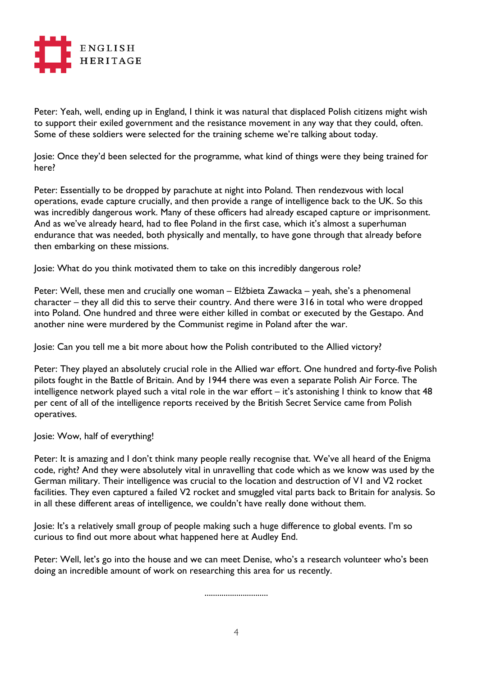

Peter: Yeah, well, ending up in England, I think it was natural that displaced Polish citizens might wish to support their exiled government and the resistance movement in any way that they could, often. Some of these soldiers were selected for the training scheme we're talking about today.

Josie: Once they'd been selected for the programme, what kind of things were they being trained for here?

Peter: Essentially to be dropped by parachute at night into Poland. Then rendezvous with local operations, evade capture crucially, and then provide a range of intelligence back to the UK. So this was incredibly dangerous work. Many of these officers had already escaped capture or imprisonment. And as we've already heard, had to flee Poland in the first case, which it's almost a superhuman endurance that was needed, both physically and mentally, to have gone through that already before then embarking on these missions.

Josie: What do you think motivated them to take on this incredibly dangerous role?

Peter: Well, these men and crucially one woman – Elżbieta Zawacka – yeah, she's a phenomenal character – they all did this to serve their country. And there were 316 in total who were dropped into Poland. One hundred and three were either killed in combat or executed by the Gestapo. And another nine were murdered by the Communist regime in Poland after the war.

Josie: Can you tell me a bit more about how the Polish contributed to the Allied victory?

Peter: They played an absolutely crucial role in the Allied war effort. One hundred and forty-five Polish pilots fought in the Battle of Britain. And by 1944 there was even a separate Polish Air Force. The intelligence network played such a vital role in the war effort – it's astonishing I think to know that 48 per cent of all of the intelligence reports received by the British Secret Service came from Polish operatives.

Josie: Wow, half of everything!

Peter: It is amazing and I don't think many people really recognise that. We've all heard of the Enigma code, right? And they were absolutely vital in unravelling that code which as we know was used by the German military. Their intelligence was crucial to the location and destruction of V1 and V2 rocket facilities. They even captured a failed V2 rocket and smuggled vital parts back to Britain for analysis. So in all these different areas of intelligence, we couldn't have really done without them.

Josie: It's a relatively small group of people making such a huge difference to global events. I'm so curious to find out more about what happened here at Audley End.

Peter: Well, let's go into the house and we can meet Denise, who's a research volunteer who's been doing an incredible amount of work on researching this area for us recently.

..............................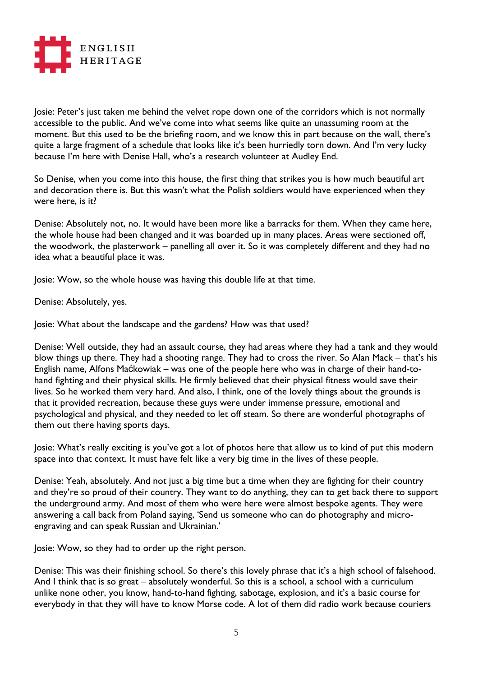

Josie: Peter's just taken me behind the velvet rope down one of the corridors which is not normally accessible to the public. And we've come into what seems like quite an unassuming room at the moment. But this used to be the briefing room, and we know this in part because on the wall, there's quite a large fragment of a schedule that looks like it's been hurriedly torn down. And I'm very lucky because I'm here with Denise Hall, who's a research volunteer at Audley End.

So Denise, when you come into this house, the first thing that strikes you is how much beautiful art and decoration there is. But this wasn't what the Polish soldiers would have experienced when they were here, is it?

Denise: Absolutely not, no. It would have been more like a barracks for them. When they came here, the whole house had been changed and it was boarded up in many places. Areas were sectioned off, the woodwork, the plasterwork – panelling all over it. So it was completely different and they had no idea what a beautiful place it was.

Josie: Wow, so the whole house was having this double life at that time.

Denise: Absolutely, yes.

Josie: What about the landscape and the gardens? How was that used?

Denise: Well outside, they had an assault course, they had areas where they had a tank and they would blow things up there. They had a shooting range. They had to cross the river. So Alan Mack – that's his English name, Alfons Maćkowiak – was one of the people here who was in charge of their hand-tohand fighting and their physical skills. He firmly believed that their physical fitness would save their lives. So he worked them very hard. And also, I think, one of the lovely things about the grounds is that it provided recreation, because these guys were under immense pressure, emotional and psychological and physical, and they needed to let off steam. So there are wonderful photographs of them out there having sports days.

Josie: What's really exciting is you've got a lot of photos here that allow us to kind of put this modern space into that context. It must have felt like a very big time in the lives of these people.

Denise: Yeah, absolutely. And not just a big time but a time when they are fighting for their country and they're so proud of their country. They want to do anything, they can to get back there to support the underground army. And most of them who were here were almost bespoke agents. They were answering a call back from Poland saying, 'Send us someone who can do photography and microengraving and can speak Russian and Ukrainian.'

Josie: Wow, so they had to order up the right person.

Denise: This was their finishing school. So there's this lovely phrase that it's a high school of falsehood. And I think that is so great – absolutely wonderful. So this is a school, a school with a curriculum unlike none other, you know, hand-to-hand fighting, sabotage, explosion, and it's a basic course for everybody in that they will have to know Morse code. A lot of them did radio work because couriers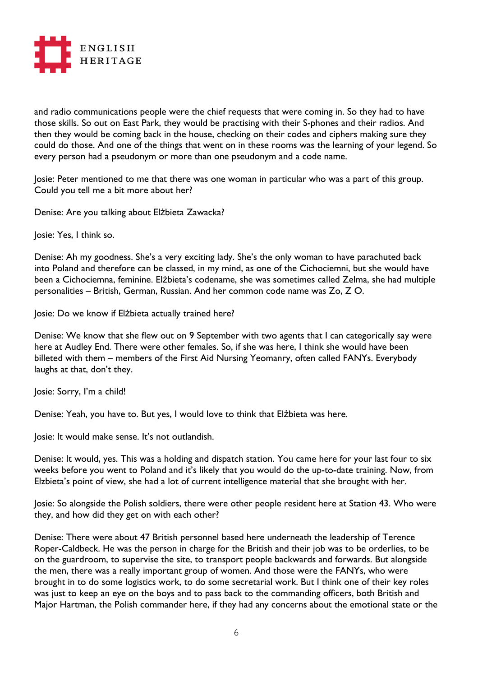

and radio communications people were the chief requests that were coming in. So they had to have those skills. So out on East Park, they would be practising with their S-phones and their radios. And then they would be coming back in the house, checking on their codes and ciphers making sure they could do those. And one of the things that went on in these rooms was the learning of your legend. So every person had a pseudonym or more than one pseudonym and a code name.

Josie: Peter mentioned to me that there was one woman in particular who was a part of this group. Could you tell me a bit more about her?

Denise: Are you talking about Elżbieta Zawacka?

Josie: Yes, I think so.

Denise: Ah my goodness. She's a very exciting lady. She's the only woman to have parachuted back into Poland and therefore can be classed, in my mind, as one of the Cichociemni, but she would have been a Cichociemna, feminine. Elżbieta's codename, she was sometimes called Zelma, she had multiple personalities – British, German, Russian. And her common code name was Zo, Z O.

Josie: Do we know if Elżbieta actually trained here?

Denise: We know that she flew out on 9 September with two agents that I can categorically say were here at Audley End. There were other females. So, if she was here, I think she would have been billeted with them – members of the First Aid Nursing Yeomanry, often called FANYs. Everybody laughs at that, don't they.

Josie: Sorry, I'm a child!

Denise: Yeah, you have to. But yes, I would love to think that Elżbieta was here.

Josie: It would make sense. It's not outlandish.

Denise: It would, yes. This was a holding and dispatch station. You came here for your last four to six weeks before you went to Poland and it's likely that you would do the up-to-date training. Now, from Elzbieta's point of view, she had a lot of current intelligence material that she brought with her.

Josie: So alongside the Polish soldiers, there were other people resident here at Station 43. Who were they, and how did they get on with each other?

Denise: There were about 47 British personnel based here underneath the leadership of Terence Roper-Caldbeck. He was the person in charge for the British and their job was to be orderlies, to be on the guardroom, to supervise the site, to transport people backwards and forwards. But alongside the men, there was a really important group of women. And those were the FANYs, who were brought in to do some logistics work, to do some secretarial work. But I think one of their key roles was just to keep an eye on the boys and to pass back to the commanding officers, both British and Major Hartman, the Polish commander here, if they had any concerns about the emotional state or the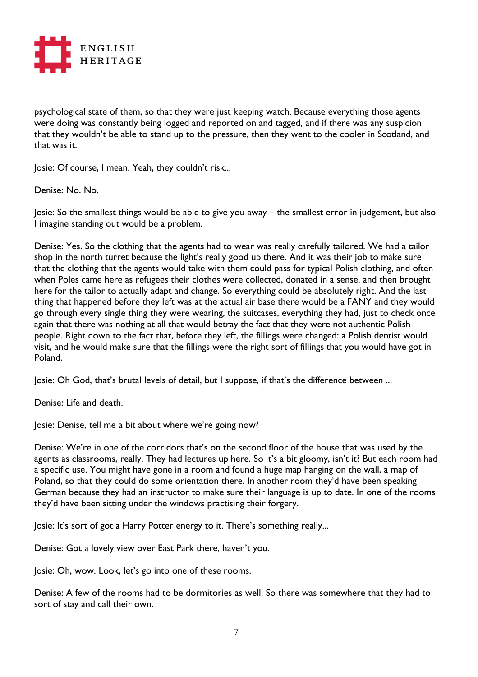

psychological state of them, so that they were just keeping watch. Because everything those agents were doing was constantly being logged and reported on and tagged, and if there was any suspicion that they wouldn't be able to stand up to the pressure, then they went to the cooler in Scotland, and that was it.

Josie: Of course, I mean. Yeah, they couldn't risk...

Denise: No. No.

Josie: So the smallest things would be able to give you away – the smallest error in judgement, but also I imagine standing out would be a problem.

Denise: Yes. So the clothing that the agents had to wear was really carefully tailored. We had a tailor shop in the north turret because the light's really good up there. And it was their job to make sure that the clothing that the agents would take with them could pass for typical Polish clothing, and often when Poles came here as refugees their clothes were collected, donated in a sense, and then brought here for the tailor to actually adapt and change. So everything could be absolutely right. And the last thing that happened before they left was at the actual air base there would be a FANY and they would go through every single thing they were wearing, the suitcases, everything they had, just to check once again that there was nothing at all that would betray the fact that they were not authentic Polish people. Right down to the fact that, before they left, the fillings were changed: a Polish dentist would visit, and he would make sure that the fillings were the right sort of fillings that you would have got in Poland.

Josie: Oh God, that's brutal levels of detail, but I suppose, if that's the difference between ...

Denise: Life and death.

Josie: Denise, tell me a bit about where we're going now?

Denise: We're in one of the corridors that's on the second floor of the house that was used by the agents as classrooms, really. They had lectures up here. So it's a bit gloomy, isn't it? But each room had a specific use. You might have gone in a room and found a huge map hanging on the wall, a map of Poland, so that they could do some orientation there. In another room they'd have been speaking German because they had an instructor to make sure their language is up to date. In one of the rooms they'd have been sitting under the windows practising their forgery.

Josie: It's sort of got a Harry Potter energy to it. There's something really...

Denise: Got a lovely view over East Park there, haven't you.

Josie: Oh, wow. Look, let's go into one of these rooms.

Denise: A few of the rooms had to be dormitories as well. So there was somewhere that they had to sort of stay and call their own.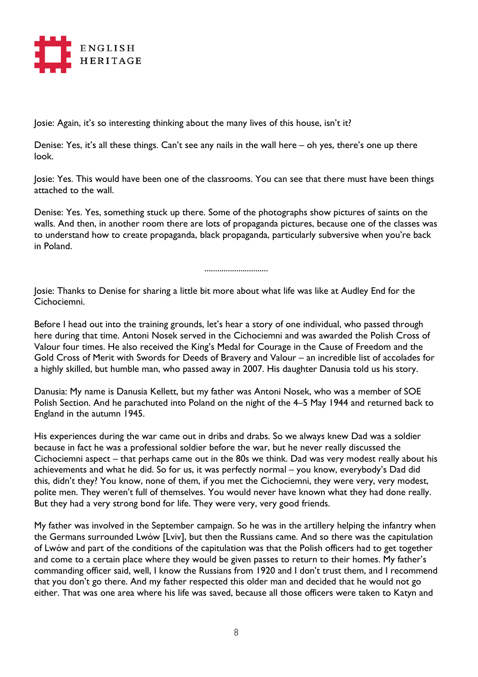

Josie: Again, it's so interesting thinking about the many lives of this house, isn't it?

Denise: Yes, it's all these things. Can't see any nails in the wall here – oh yes, there's one up there look.

Josie: Yes. This would have been one of the classrooms. You can see that there must have been things attached to the wall.

Denise: Yes. Yes, something stuck up there. Some of the photographs show pictures of saints on the walls. And then, in another room there are lots of propaganda pictures, because one of the classes was to understand how to create propaganda, black propaganda, particularly subversive when you're back in Poland.

..............................

Josie: Thanks to Denise for sharing a little bit more about what life was like at Audley End for the Cichociemni.

Before I head out into the training grounds, let's hear a story of one individual, who passed through here during that time. Antoni Nosek served in the Cichociemni and was awarded the Polish Cross of Valour four times. He also received the King's Medal for Courage in the Cause of Freedom and the Gold Cross of Merit with Swords for Deeds of Bravery and Valour – an incredible list of accolades for a highly skilled, but humble man, who passed away in 2007. His daughter Danusia told us his story.

Danusia: My name is Danusia Kellett, but my father was Antoni Nosek, who was a member of SOE Polish Section. And he parachuted into Poland on the night of the 4–5 May 1944 and returned back to England in the autumn 1945.

His experiences during the war came out in dribs and drabs. So we always knew Dad was a soldier because in fact he was a professional soldier before the war, but he never really discussed the Cichociemni aspect – that perhaps came out in the 80s we think. Dad was very modest really about his achievements and what he did. So for us, it was perfectly normal – you know, everybody's Dad did this, didn't they? You know, none of them, if you met the Cichociemni, they were very, very modest, polite men. They weren't full of themselves. You would never have known what they had done really. But they had a very strong bond for life. They were very, very good friends.

My father was involved in the September campaign. So he was in the artillery helping the infantry when the Germans surrounded Lwów [Lviv], but then the Russians came. And so there was the capitulation of Lwów and part of the conditions of the capitulation was that the Polish officers had to get together and come to a certain place where they would be given passes to return to their homes. My father's commanding officer said, well, I know the Russians from 1920 and I don't trust them, and I recommend that you don't go there. And my father respected this older man and decided that he would not go either. That was one area where his life was saved, because all those officers were taken to Katyn and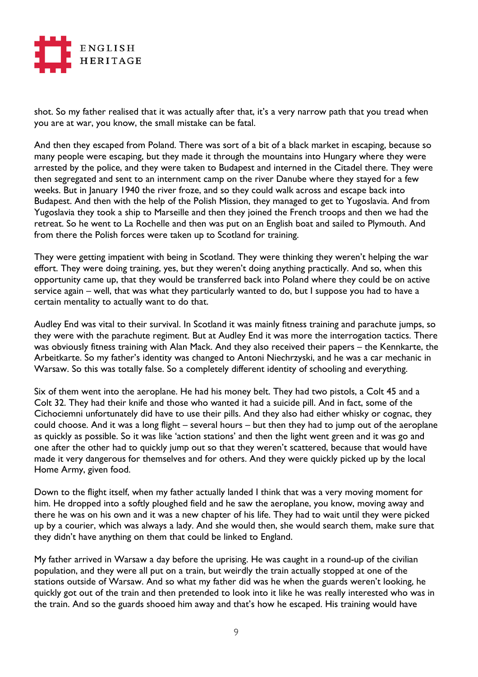

shot. So my father realised that it was actually after that, it's a very narrow path that you tread when you are at war, you know, the small mistake can be fatal.

And then they escaped from Poland. There was sort of a bit of a black market in escaping, because so many people were escaping, but they made it through the mountains into Hungary where they were arrested by the police, and they were taken to Budapest and interned in the Citadel there. They were then segregated and sent to an internment camp on the river Danube where they stayed for a few weeks. But in January 1940 the river froze, and so they could walk across and escape back into Budapest. And then with the help of the Polish Mission, they managed to get to Yugoslavia. And from Yugoslavia they took a ship to Marseille and then they joined the French troops and then we had the retreat. So he went to La Rochelle and then was put on an English boat and sailed to Plymouth. And from there the Polish forces were taken up to Scotland for training.

They were getting impatient with being in Scotland. They were thinking they weren't helping the war effort. They were doing training, yes, but they weren't doing anything practically. And so, when this opportunity came up, that they would be transferred back into Poland where they could be on active service again – well, that was what they particularly wanted to do, but I suppose you had to have a certain mentality to actually want to do that.

Audley End was vital to their survival. In Scotland it was mainly fitness training and parachute jumps, so they were with the parachute regiment. But at Audley End it was more the interrogation tactics. There was obviously fitness training with Alan Mack. And they also received their papers – the Kennkarte, the Arbeitkarte. So my father's identity was changed to Antoni Niechrzyski, and he was a car mechanic in Warsaw. So this was totally false. So a completely different identity of schooling and everything.

Six of them went into the aeroplane. He had his money belt. They had two pistols, a Colt 45 and a Colt 32. They had their knife and those who wanted it had a suicide pill. And in fact, some of the Cichociemni unfortunately did have to use their pills. And they also had either whisky or cognac, they could choose. And it was a long flight – several hours – but then they had to jump out of the aeroplane as quickly as possible. So it was like 'action stations' and then the light went green and it was go and one after the other had to quickly jump out so that they weren't scattered, because that would have made it very dangerous for themselves and for others. And they were quickly picked up by the local Home Army, given food.

Down to the flight itself, when my father actually landed I think that was a very moving moment for him. He dropped into a softly ploughed field and he saw the aeroplane, you know, moving away and there he was on his own and it was a new chapter of his life. They had to wait until they were picked up by a courier, which was always a lady. And she would then, she would search them, make sure that they didn't have anything on them that could be linked to England.

My father arrived in Warsaw a day before the uprising. He was caught in a round-up of the civilian population, and they were all put on a train, but weirdly the train actually stopped at one of the stations outside of Warsaw. And so what my father did was he when the guards weren't looking, he quickly got out of the train and then pretended to look into it like he was really interested who was in the train. And so the guards shooed him away and that's how he escaped. His training would have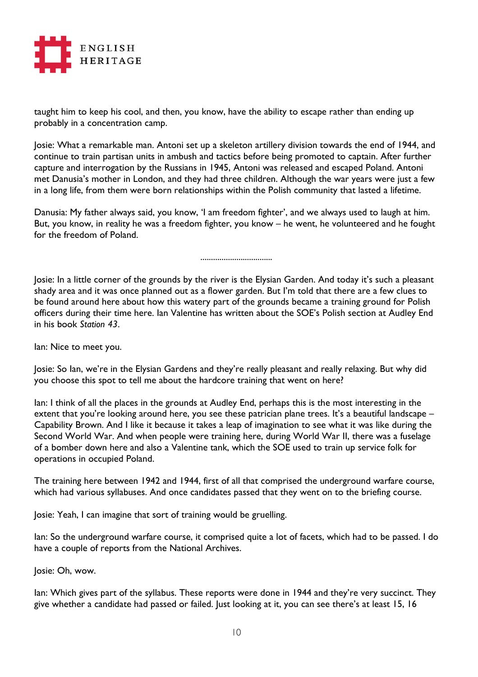

taught him to keep his cool, and then, you know, have the ability to escape rather than ending up probably in a concentration camp.

Josie: What a remarkable man. Antoni set up a skeleton artillery division towards the end of 1944, and continue to train partisan units in ambush and tactics before being promoted to captain. After further capture and interrogation by the Russians in 1945, Antoni was released and escaped Poland. Antoni met Danusia's mother in London, and they had three children. Although the war years were just a few in a long life, from them were born relationships within the Polish community that lasted a lifetime.

Danusia: My father always said, you know, 'I am freedom fighter', and we always used to laugh at him. But, you know, in reality he was a freedom fighter, you know – he went, he volunteered and he fought for the freedom of Poland.

..................................

Josie: In a little corner of the grounds by the river is the Elysian Garden. And today it's such a pleasant shady area and it was once planned out as a flower garden. But I'm told that there are a few clues to be found around here about how this watery part of the grounds became a training ground for Polish officers during their time here. Ian Valentine has written about the SOE's Polish section at Audley End in his book *Station 43*.

Ian: Nice to meet you.

Josie: So Ian, we're in the Elysian Gardens and they're really pleasant and really relaxing. But why did you choose this spot to tell me about the hardcore training that went on here?

Ian: I think of all the places in the grounds at Audley End, perhaps this is the most interesting in the extent that you're looking around here, you see these patrician plane trees. It's a beautiful landscape -Capability Brown. And I like it because it takes a leap of imagination to see what it was like during the Second World War. And when people were training here, during World War II, there was a fuselage of a bomber down here and also a Valentine tank, which the SOE used to train up service folk for operations in occupied Poland.

The training here between 1942 and 1944, first of all that comprised the underground warfare course, which had various syllabuses. And once candidates passed that they went on to the briefing course.

Josie: Yeah, I can imagine that sort of training would be gruelling.

Ian: So the underground warfare course, it comprised quite a lot of facets, which had to be passed. I do have a couple of reports from the National Archives.

Josie: Oh, wow.

lan: Which gives part of the syllabus. These reports were done in 1944 and they're very succinct. They give whether a candidate had passed or failed. Just looking at it, you can see there's at least 15, 16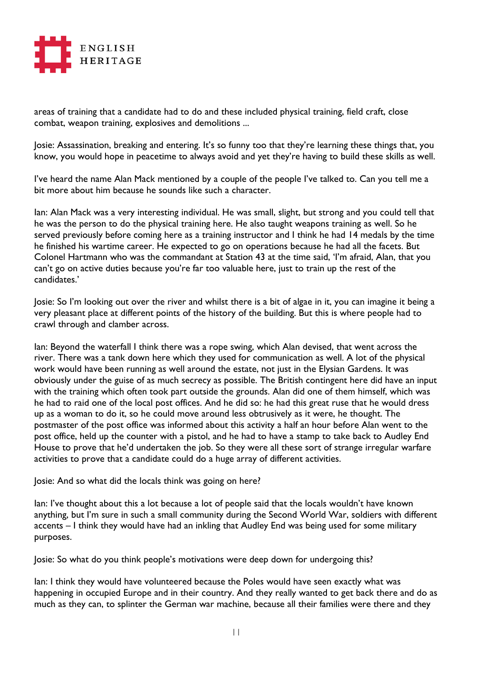

areas of training that a candidate had to do and these included physical training, field craft, close combat, weapon training, explosives and demolitions ...

Josie: Assassination, breaking and entering. It's so funny too that they're learning these things that, you know, you would hope in peacetime to always avoid and yet they're having to build these skills as well.

I've heard the name Alan Mack mentioned by a couple of the people I've talked to. Can you tell me a bit more about him because he sounds like such a character.

Ian: Alan Mack was a very interesting individual. He was small, slight, but strong and you could tell that he was the person to do the physical training here. He also taught weapons training as well. So he served previously before coming here as a training instructor and I think he had 14 medals by the time he finished his wartime career. He expected to go on operations because he had all the facets. But Colonel Hartmann who was the commandant at Station 43 at the time said, 'I'm afraid, Alan, that you can't go on active duties because you're far too valuable here, just to train up the rest of the candidates.'

Josie: So I'm looking out over the river and whilst there is a bit of algae in it, you can imagine it being a very pleasant place at different points of the history of the building. But this is where people had to crawl through and clamber across.

lan: Beyond the waterfall I think there was a rope swing, which Alan devised, that went across the river. There was a tank down here which they used for communication as well. A lot of the physical work would have been running as well around the estate, not just in the Elysian Gardens. It was obviously under the guise of as much secrecy as possible. The British contingent here did have an input with the training which often took part outside the grounds. Alan did one of them himself, which was he had to raid one of the local post offices. And he did so: he had this great ruse that he would dress up as a woman to do it, so he could move around less obtrusively as it were, he thought. The postmaster of the post office was informed about this activity a half an hour before Alan went to the post office, held up the counter with a pistol, and he had to have a stamp to take back to Audley End House to prove that he'd undertaken the job. So they were all these sort of strange irregular warfare activities to prove that a candidate could do a huge array of different activities.

Josie: And so what did the locals think was going on here?

lan: I've thought about this a lot because a lot of people said that the locals wouldn't have known anything, but I'm sure in such a small community during the Second World War, soldiers with different accents – I think they would have had an inkling that Audley End was being used for some military purposes.

Josie: So what do you think people's motivations were deep down for undergoing this?

Ian: I think they would have volunteered because the Poles would have seen exactly what was happening in occupied Europe and in their country. And they really wanted to get back there and do as much as they can, to splinter the German war machine, because all their families were there and they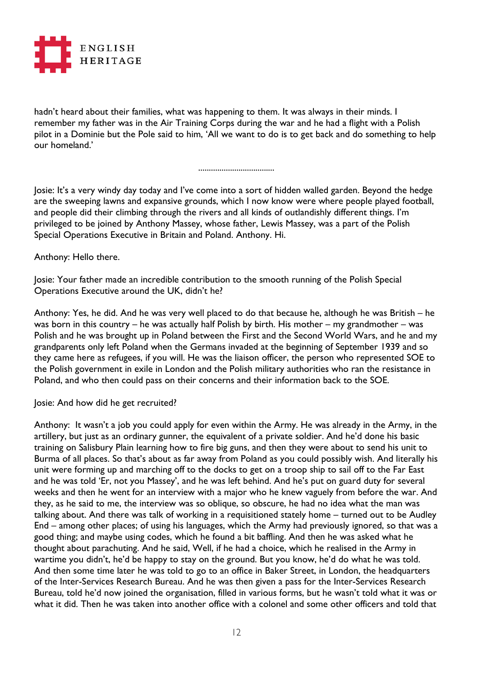

hadn't heard about their families, what was happening to them. It was always in their minds. I remember my father was in the Air Training Corps during the war and he had a flight with a Polish pilot in a Dominie but the Pole said to him, 'All we want to do is to get back and do something to help our homeland.'

....................................

Josie: It's a very windy day today and I've come into a sort of hidden walled garden. Beyond the hedge are the sweeping lawns and expansive grounds, which I now know were where people played football, and people did their climbing through the rivers and all kinds of outlandishly different things. I'm privileged to be joined by Anthony Massey, whose father, Lewis Massey, was a part of the Polish Special Operations Executive in Britain and Poland. Anthony. Hi.

Anthony: Hello there.

Josie: Your father made an incredible contribution to the smooth running of the Polish Special Operations Executive around the UK, didn't he?

Anthony: Yes, he did. And he was very well placed to do that because he, although he was British – he was born in this country – he was actually half Polish by birth. His mother – my grandmother – was Polish and he was brought up in Poland between the First and the Second World Wars, and he and my grandparents only left Poland when the Germans invaded at the beginning of September 1939 and so they came here as refugees, if you will. He was the liaison officer, the person who represented SOE to the Polish government in exile in London and the Polish military authorities who ran the resistance in Poland, and who then could pass on their concerns and their information back to the SOE.

Josie: And how did he get recruited?

Anthony: It wasn't a job you could apply for even within the Army. He was already in the Army, in the artillery, but just as an ordinary gunner, the equivalent of a private soldier. And he'd done his basic training on Salisbury Plain learning how to fire big guns, and then they were about to send his unit to Burma of all places. So that's about as far away from Poland as you could possibly wish. And literally his unit were forming up and marching off to the docks to get on a troop ship to sail off to the Far East and he was told 'Er, not you Massey', and he was left behind. And he's put on guard duty for several weeks and then he went for an interview with a major who he knew vaguely from before the war. And they, as he said to me, the interview was so oblique, so obscure, he had no idea what the man was talking about. And there was talk of working in a requisitioned stately home – turned out to be Audley End – among other places; of using his languages, which the Army had previously ignored, so that was a good thing; and maybe using codes, which he found a bit baffling. And then he was asked what he thought about parachuting. And he said, Well, if he had a choice, which he realised in the Army in wartime you didn't, he'd be happy to stay on the ground. But you know, he'd do what he was told. And then some time later he was told to go to an office in Baker Street, in London, the headquarters of the Inter-Services Research Bureau. And he was then given a pass for the Inter-Services Research Bureau, told he'd now joined the organisation, filled in various forms, but he wasn't told what it was or what it did. Then he was taken into another office with a colonel and some other officers and told that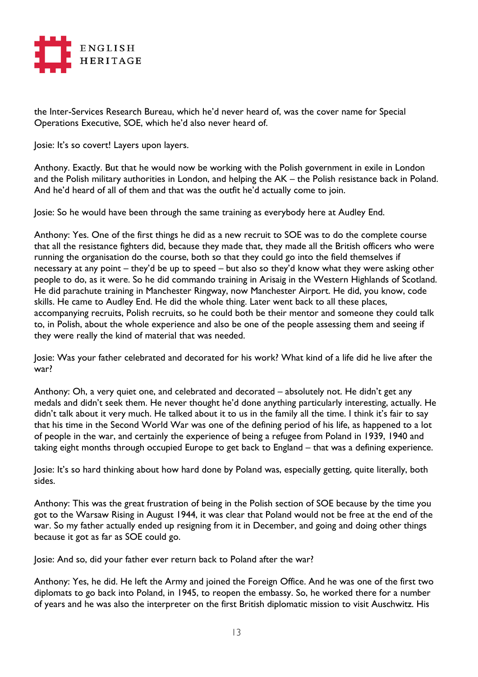

the Inter-Services Research Bureau, which he'd never heard of, was the cover name for Special Operations Executive, SOE, which he'd also never heard of.

Josie: It's so covert! Layers upon layers.

Anthony. Exactly. But that he would now be working with the Polish government in exile in London and the Polish military authorities in London, and helping the AK – the Polish resistance back in Poland. And he'd heard of all of them and that was the outfit he'd actually come to join.

Josie: So he would have been through the same training as everybody here at Audley End.

Anthony: Yes. One of the first things he did as a new recruit to SOE was to do the complete course that all the resistance fighters did, because they made that, they made all the British officers who were running the organisation do the course, both so that they could go into the field themselves if necessary at any point – they'd be up to speed – but also so they'd know what they were asking other people to do, as it were. So he did commando training in Arisaig in the Western Highlands of Scotland. He did parachute training in Manchester Ringway, now Manchester Airport. He did, you know, code skills. He came to Audley End. He did the whole thing. Later went back to all these places, accompanying recruits, Polish recruits, so he could both be their mentor and someone they could talk to, in Polish, about the whole experience and also be one of the people assessing them and seeing if they were really the kind of material that was needed.

Josie: Was your father celebrated and decorated for his work? What kind of a life did he live after the war?

Anthony: Oh, a very quiet one, and celebrated and decorated – absolutely not. He didn't get any medals and didn't seek them. He never thought he'd done anything particularly interesting, actually. He didn't talk about it very much. He talked about it to us in the family all the time. I think it's fair to say that his time in the Second World War was one of the defining period of his life, as happened to a lot of people in the war, and certainly the experience of being a refugee from Poland in 1939, 1940 and taking eight months through occupied Europe to get back to England – that was a defining experience.

Josie: It's so hard thinking about how hard done by Poland was, especially getting, quite literally, both sides.

Anthony: This was the great frustration of being in the Polish section of SOE because by the time you got to the Warsaw Rising in August 1944, it was clear that Poland would not be free at the end of the war. So my father actually ended up resigning from it in December, and going and doing other things because it got as far as SOE could go.

Josie: And so, did your father ever return back to Poland after the war?

Anthony: Yes, he did. He left the Army and joined the Foreign Office. And he was one of the first two diplomats to go back into Poland, in 1945, to reopen the embassy. So, he worked there for a number of years and he was also the interpreter on the first British diplomatic mission to visit Auschwitz. His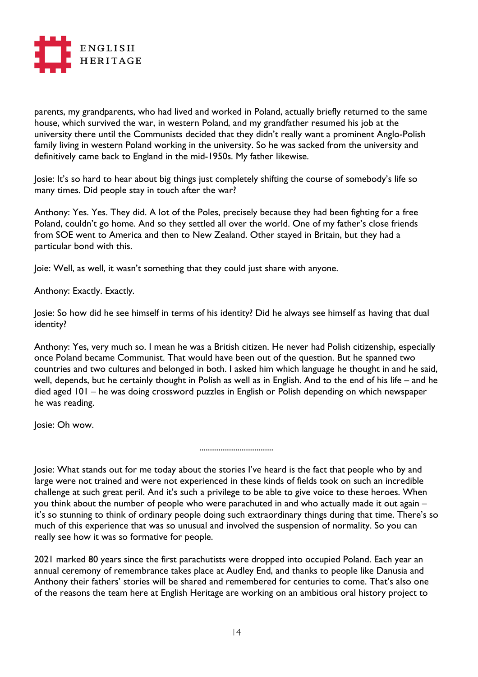

parents, my grandparents, who had lived and worked in Poland, actually briefly returned to the same house, which survived the war, in western Poland, and my grandfather resumed his job at the university there until the Communists decided that they didn't really want a prominent Anglo-Polish family living in western Poland working in the university. So he was sacked from the university and definitively came back to England in the mid-1950s. My father likewise.

Josie: It's so hard to hear about big things just completely shifting the course of somebody's life so many times. Did people stay in touch after the war?

Anthony: Yes. Yes. They did. A lot of the Poles, precisely because they had been fighting for a free Poland, couldn't go home. And so they settled all over the world. One of my father's close friends from SOE went to America and then to New Zealand. Other stayed in Britain, but they had a particular bond with this.

Joie: Well, as well, it wasn't something that they could just share with anyone.

Anthony: Exactly. Exactly.

Josie: So how did he see himself in terms of his identity? Did he always see himself as having that dual identity?

Anthony: Yes, very much so. I mean he was a British citizen. He never had Polish citizenship, especially once Poland became Communist. That would have been out of the question. But he spanned two countries and two cultures and belonged in both. I asked him which language he thought in and he said, well, depends, but he certainly thought in Polish as well as in English. And to the end of his life – and he died aged 101 – he was doing crossword puzzles in English or Polish depending on which newspaper he was reading.

Josie: Oh wow.

Josie: What stands out for me today about the stories I've heard is the fact that people who by and large were not trained and were not experienced in these kinds of fields took on such an incredible challenge at such great peril. And it's such a privilege to be able to give voice to these heroes. When you think about the number of people who were parachuted in and who actually made it out again – it's so stunning to think of ordinary people doing such extraordinary things during that time. There's so much of this experience that was so unusual and involved the suspension of normality. So you can really see how it was so formative for people.

...................................

2021 marked 80 years since the first parachutists were dropped into occupied Poland. Each year an annual ceremony of remembrance takes place at Audley End, and thanks to people like Danusia and Anthony their fathers' stories will be shared and remembered for centuries to come. That's also one of the reasons the team here at English Heritage are working on an ambitious oral history project to